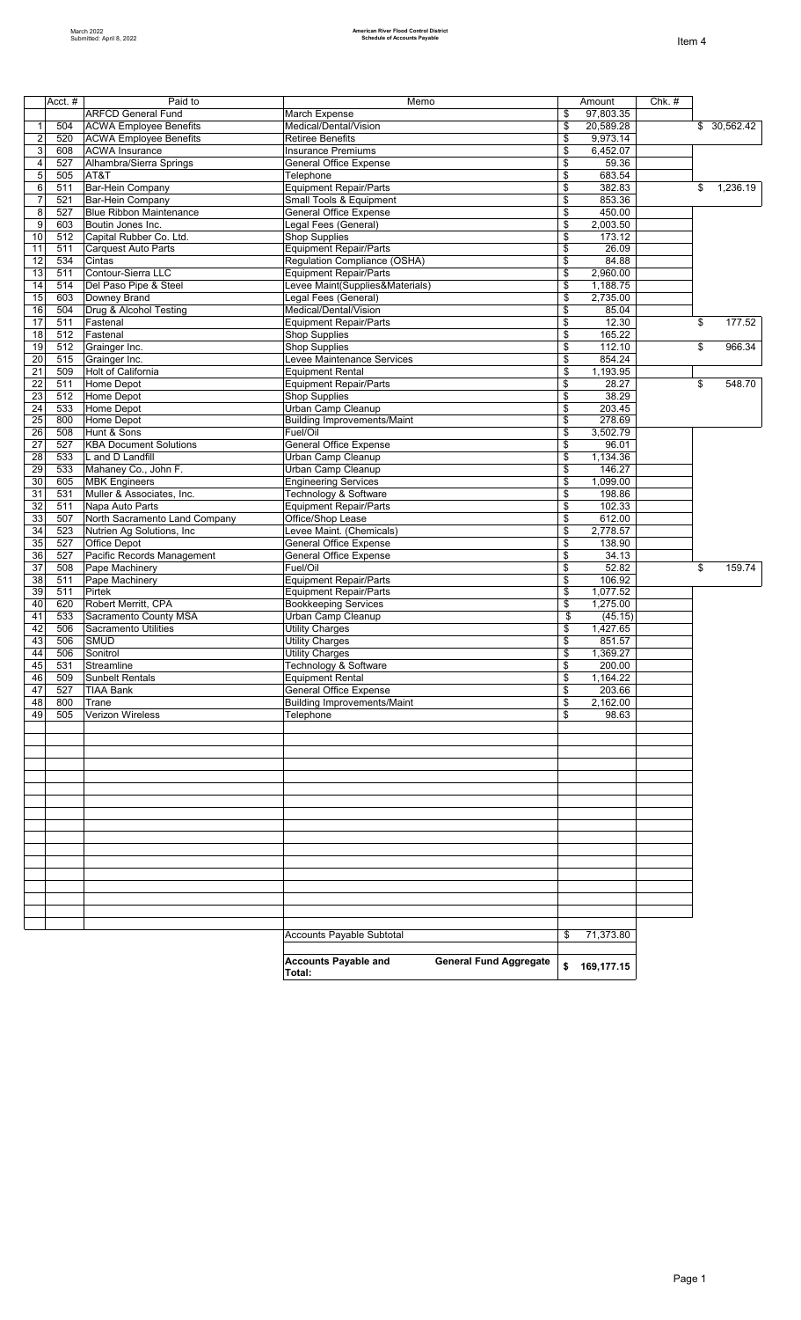|                     | Acct. #    | Paid to                                            | Memo                                                                   | Amount   |                      | $Chk.$ # |                           |
|---------------------|------------|----------------------------------------------------|------------------------------------------------------------------------|----------|----------------------|----------|---------------------------|
|                     |            | <b>ARFCD General Fund</b>                          | March Expense                                                          | \$       | 97,803.35            |          |                           |
| $\mathbf{1}$        | 504        | <b>ACWA Employee Benefits</b>                      | Medical/Dental/Vision                                                  | \$       | 20,589.28            |          | $\overline{\$}$ 30,562.42 |
| $\overline{c}$      | 520        | <b>ACWA Employee Benefits</b>                      | <b>Retiree Benefits</b>                                                | \$       | 9,973.14             |          |                           |
| 3                   | 608        | <b>ACWA Insurance</b>                              | <b>Insurance Premiums</b>                                              | \$       | 6,452.07             |          |                           |
| $\overline{4}$      | 527        | Alhambra/Sierra Springs                            | <b>General Office Expense</b>                                          | \$       | 59.36                |          |                           |
| 5                   | 505        | AT&T                                               | Telephone                                                              | \$       | 683.54               |          |                           |
| 6                   | 511        | Bar-Hein Company                                   | <b>Equipment Repair/Parts</b>                                          | \$       | 382.83               |          | \$<br>1,236.19            |
| $\overline{7}$<br>8 | 521<br>527 | Bar-Hein Company<br><b>Blue Ribbon Maintenance</b> | Small Tools & Equipment<br><b>General Office Expense</b>               | \$<br>\$ | 853.36<br>450.00     |          |                           |
| 9                   | 603        | Boutin Jones Inc.                                  | Legal Fees (General)                                                   | \$       | 2,003.50             |          |                           |
| 10                  | 512        | Capital Rubber Co. Ltd.                            | <b>Shop Supplies</b>                                                   | \$       | 173.12               |          |                           |
| 11                  | 511        | Carquest Auto Parts                                | <b>Equipment Repair/Parts</b>                                          | \$       | 26.09                |          |                           |
| 12                  | 534        | Cintas                                             | Regulation Compliance (OSHA)                                           | \$       | 84.88                |          |                           |
| 13                  | 511        | Contour-Sierra LLC                                 | <b>Equipment Repair/Parts</b>                                          | \$       | 2,960.00             |          |                           |
| 14                  | 514        | Del Paso Pipe & Steel                              | Levee Maint(Supplies&Materials)                                        | \$       | 1,188.75             |          |                           |
| 15                  | 603        | Downey Brand                                       | Legal Fees (General)                                                   | \$       | 2,735.00             |          |                           |
| 16<br>17            | 504<br>511 | Drug & Alcohol Testing<br>Fastenal                 | Medical/Dental/Vision<br><b>Equipment Repair/Parts</b>                 | \$<br>\$ | 85.04<br>12.30       |          | \$<br>177.52              |
| 18                  | 512        | Fastenal                                           | <b>Shop Supplies</b>                                                   | \$       | 165.22               |          |                           |
| 19                  | 512        | Grainger Inc.                                      | <b>Shop Supplies</b>                                                   | \$       | 112.10               |          | \$<br>966.34              |
| 20                  | 515        | Grainger Inc.                                      | Levee Maintenance Services                                             | \$       | 854.24               |          |                           |
| 21                  | 509        | <b>Holt of California</b>                          | <b>Equipment Rental</b>                                                | \$       | 1,193.95             |          |                           |
| 22                  | 511        | Home Depot                                         | <b>Equipment Repair/Parts</b>                                          | \$       | 28.27                |          | \$<br>548.70              |
| 23                  | 512        | Home Depot                                         | Shop Supplies                                                          | \$       | 38.29                |          |                           |
| 24                  | 533        | Home Depot                                         | Urban Camp Cleanup                                                     | \$       | 203.45               |          |                           |
| 25                  | 800        | Home Depot                                         | <b>Building Improvements/Maint</b>                                     | \$       | 278.69               |          |                           |
| 26                  | 508        | Hunt & Sons                                        | Fuel/Oil                                                               | \$       | 3,502.79             |          |                           |
| 27                  | 527        | <b>KBA Document Solutions</b>                      | <b>General Office Expense</b>                                          | \$<br>\$ | 96.01<br>1,134.36    |          |                           |
| 28<br>29            | 533<br>533 | L and D Landfill<br>Mahaney Co., John F.           | Urban Camp Cleanup<br>Urban Camp Cleanup                               | \$       | 146.27               |          |                           |
| 30                  | 605        | <b>MBK Engineers</b>                               | <b>Engineering Services</b>                                            | \$       | 1,099.00             |          |                           |
| 31                  | 531        | Muller & Associates, Inc.                          | Technology & Software                                                  | \$       | 198.86               |          |                           |
| 32                  | 511        | Napa Auto Parts                                    | <b>Equipment Repair/Parts</b>                                          | \$       | 102.33               |          |                           |
| 33                  | 507        | North Sacramento Land Company                      | Office/Shop Lease                                                      | \$       | 612.00               |          |                           |
| 34                  | 523        | Nutrien Ag Solutions, Inc                          | Levee Maint. (Chemicals)                                               | \$       | 2,778.57             |          |                           |
| 35                  | 527        | Office Depot                                       | <b>General Office Expense</b>                                          | \$       | 138.90               |          |                           |
| 36                  | 527        | Pacific Records Management                         | <b>General Office Expense</b>                                          | \$       | 34.13                |          |                           |
| 37                  | 508        | Pape Machinery                                     | Fuel/Oil                                                               | \$       | 52.82                |          | \$<br>159.74              |
| 38                  | 511        | Pape Machinery<br>Pirtek                           | <b>Equipment Repair/Parts</b>                                          | \$       | 106.92               |          |                           |
| 39<br>40            | 511<br>620 | Robert Merritt, CPA                                | <b>Equipment Repair/Parts</b><br><b>Bookkeeping Services</b>           | \$<br>\$ | 1,077.52<br>1,275.00 |          |                           |
| 41                  | 533        | Sacramento County MSA                              | Urban Camp Cleanup                                                     | \$       | (45.15)              |          |                           |
| 42                  | 506        | Sacramento Utilities                               | <b>Utility Charges</b>                                                 | \$       | 1,427.65             |          |                           |
| 43                  | 506        | <b>SMUD</b>                                        | <b>Utility Charges</b>                                                 | \$       | 851.57               |          |                           |
| 44                  | 506        | Sonitrol                                           | <b>Utility Charges</b>                                                 | \$       | 1.369.27             |          |                           |
| 45                  | 531        | Streamline                                         | Technology & Software                                                  | \$       | 200.00               |          |                           |
| 46                  | 509        | Sunbelt Rentals                                    | <b>Equipment Rental</b>                                                | \$       | 1,164.22             |          |                           |
| 47                  | 527        | TIAA Bank                                          | <b>General Office Expense</b>                                          | \$       | 203.66               |          |                           |
| 48<br>49            | 800<br>505 | Trane<br><b>Verizon Wireless</b>                   | <b>Building Improvements/Maint</b><br>Telephone                        | \$<br>\$ | 2,162.00<br>98.63    |          |                           |
|                     |            |                                                    |                                                                        |          |                      |          |                           |
|                     |            |                                                    |                                                                        |          |                      |          |                           |
|                     |            |                                                    |                                                                        |          |                      |          |                           |
|                     |            |                                                    |                                                                        |          |                      |          |                           |
|                     |            |                                                    |                                                                        |          |                      |          |                           |
|                     |            |                                                    |                                                                        |          |                      |          |                           |
|                     |            |                                                    |                                                                        |          |                      |          |                           |
|                     |            |                                                    |                                                                        |          |                      |          |                           |
|                     |            |                                                    |                                                                        |          |                      |          |                           |
|                     |            |                                                    |                                                                        |          |                      |          |                           |
|                     |            |                                                    |                                                                        |          |                      |          |                           |
|                     |            |                                                    |                                                                        |          |                      |          |                           |
|                     |            |                                                    |                                                                        |          |                      |          |                           |
|                     |            |                                                    |                                                                        |          |                      |          |                           |
|                     |            |                                                    |                                                                        |          |                      |          |                           |
|                     |            |                                                    |                                                                        |          |                      |          |                           |
|                     |            |                                                    | Accounts Payable Subtotal                                              | \$       | 71,373.80            |          |                           |
|                     |            |                                                    |                                                                        |          |                      |          |                           |
|                     |            |                                                    | <b>Accounts Payable and</b><br><b>General Fund Aggregate</b><br>Total: | \$       | 169,177.15           |          |                           |